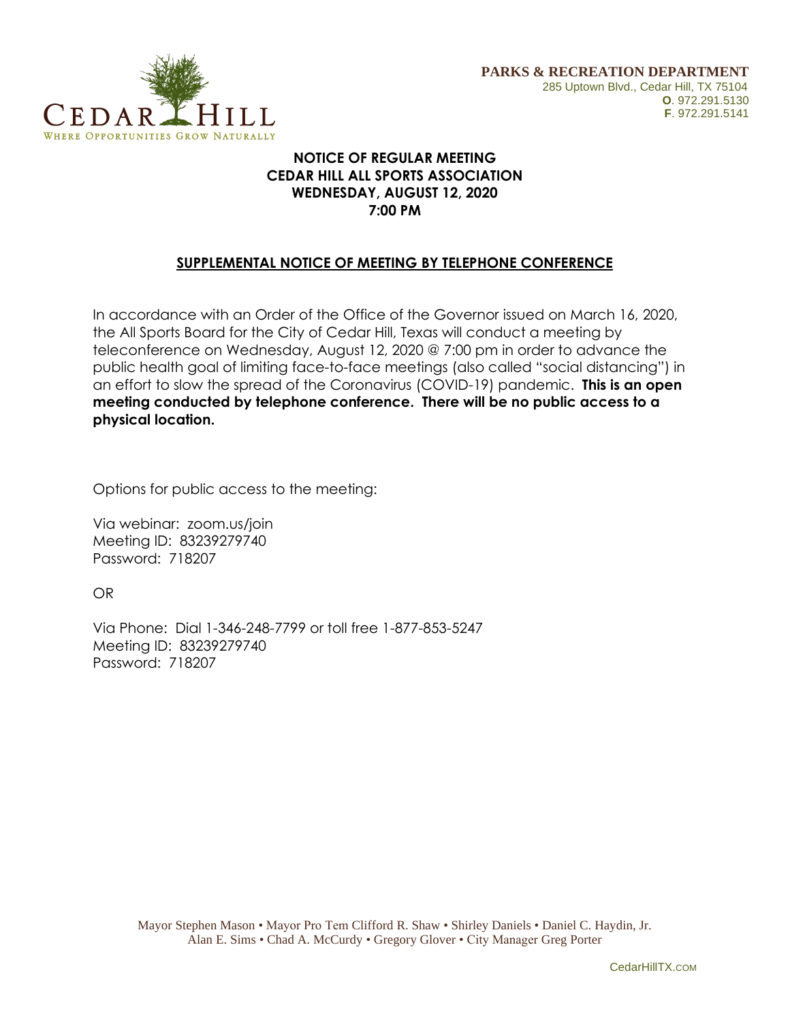

## **NOTICE OF REGULAR MEETING CEDAR HILL ALL SPORTS ASSOCIATION WEDNESDAY, AUGUST 12, 2020 7:00 PM**

## **SUPPLEMENTAL NOTICE OF MEETING BY TELEPHONE CONFERENCE**

In accordance with an Order of the Office of the Governor issued on March 16, 2020, the All Sports Board for the City of Cedar Hill, Texas will conduct a meeting by teleconference on Wednesday, August 12, 2020 @ 7:00 pm in order to advance the public health goal of limiting face-to-face meetings (also called "social distancing") in an effort to slow the spread of the Coronavirus (COVID-19) pandemic. **This is an open meeting conducted by telephone conference. There will be no public access to a physical location.**

Options for public access to the meeting:

Via webinar: zoom.us/join Meeting ID: 83239279740 Password: 718207

OR

Via Phone: Dial 1-346-248-7799 or toll free 1-877-853-5247 Meeting ID: 83239279740 Password: 718207